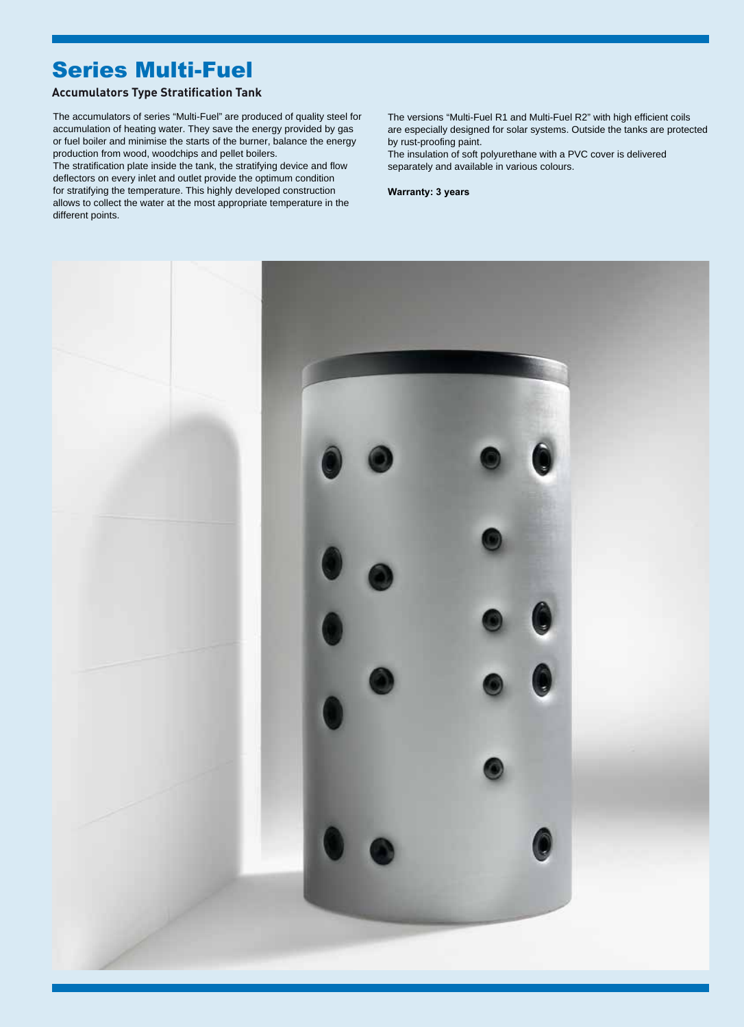## Series Multi-Fuel

## **Accumulators Type Stratification Tank**

accumulation of heating water. They save the energy provided by gas or fuel boiler and minimise the starts of the burner, balance the energy production from wood, woodchips and pellet boilers. The accumulators of series "Multi-Fuel" are produced of quality steel for The versions "Multi-Fuel R1 and Multi-Fuel R2" with high efficient coils

deflectors on every inlet and outlet provide the optimum condition for stratifying the temperature. This highly developed construction The stratification plate inside the tank, the stratifying device and flow allows to collect the water at the most appropriate temperature in the different points.

are especially designed for solar systems. Outside the tanks are protected by rust-proofing paint.

The insulation of soft polyurethane with a PVC cover is delivered separately and available in various colours.

**Warranty: 3 years**